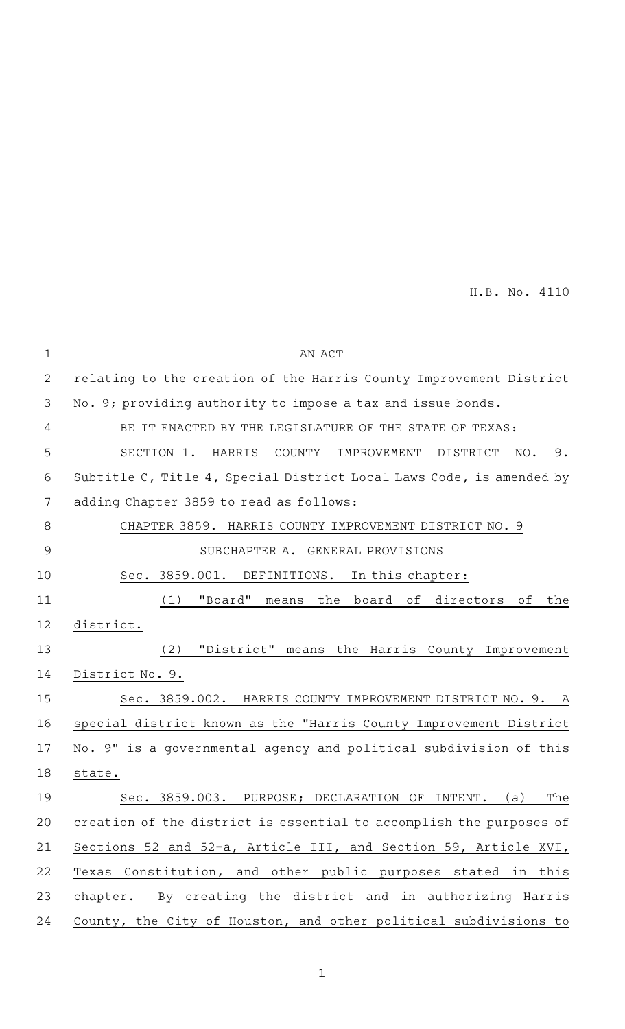| $\mathbf 1$ | AN ACT                                                               |
|-------------|----------------------------------------------------------------------|
| 2           | relating to the creation of the Harris County Improvement District   |
| 3           | No. 9; providing authority to impose a tax and issue bonds.          |
| 4           | BE IT ENACTED BY THE LEGISLATURE OF THE STATE OF TEXAS:              |
| 5           | SECTION 1.<br>HARRIS<br>COUNTY<br>IMPROVEMENT<br>DISTRICT<br>NO. 9.  |
| 6           | Subtitle C, Title 4, Special District Local Laws Code, is amended by |
| 7           | adding Chapter 3859 to read as follows:                              |
| $\,8\,$     | CHAPTER 3859. HARRIS COUNTY IMPROVEMENT DISTRICT NO. 9               |
| $\mathsf 9$ | SUBCHAPTER A. GENERAL PROVISIONS                                     |
| 10          | Sec. 3859.001. DEFINITIONS.<br>In this chapter:                      |
| 11          | "Board"<br>(1)<br>means<br>the<br>board of<br>directors<br>οf<br>the |
| 12          | district.                                                            |
| 13          | "District" means the Harris County Improvement<br>(2)                |
| 14          | District No. 9.                                                      |
| 15          | Sec. 3859.002. HARRIS COUNTY IMPROVEMENT DISTRICT NO. 9. A           |
| 16          | special district known as the "Harris County Improvement District    |
| 17          | No. 9" is a governmental agency and political subdivision of this    |
| 18          | state.                                                               |
| 19          | Sec. 3859.003. PURPOSE; DECLARATION OF<br>INTENT.<br>(a)<br>The      |
| 20          | creation of the district is essential to accomplish the purposes of  |
| 21          | Sections 52 and 52-a, Article III, and Section 59, Article XVI,      |
| 22          | Texas Constitution, and other public purposes stated in this         |
| 23          | chapter. By creating the district and in authorizing Harris          |
| 24          | County, the City of Houston, and other political subdivisions to     |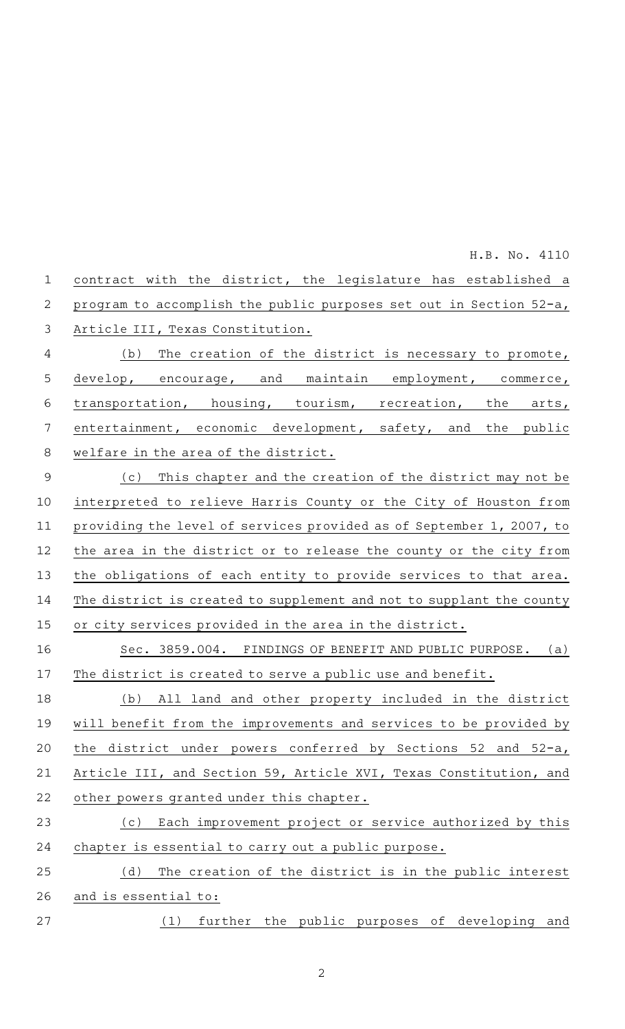| $\mathbf 1$    | contract with the district, the legislature has established a        |
|----------------|----------------------------------------------------------------------|
| $\overline{2}$ | program to accomplish the public purposes set out in Section 52-a,   |
| $\mathfrak{Z}$ | Article III, Texas Constitution.                                     |
| 4              | The creation of the district is necessary to promote,<br>(b)         |
| 5              | develop, encourage, and maintain employment, commerce,               |
| 6              | transportation, housing, tourism, recreation, the arts,              |
| 7              | entertainment, economic development, safety, and the public          |
| 8              | welfare in the area of the district.                                 |
| $\overline{9}$ | (c) This chapter and the creation of the district may not be         |
| 10             | interpreted to relieve Harris County or the City of Houston from     |
| 11             | providing the level of services provided as of September 1, 2007, to |
| 12             | the area in the district or to release the county or the city from   |
| 13             | the obligations of each entity to provide services to that area.     |
| 14             | The district is created to supplement and not to supplant the county |
| 15             | or city services provided in the area in the district.               |
| 16             | Sec. 3859.004. FINDINGS OF BENEFIT AND PUBLIC PURPOSE. (a)           |
| 17             | The district is created to serve a public use and benefit.           |
| 18             | All land and other property included in the district<br>(b)          |
| 19             | will benefit from the improvements and services to be provided by    |
| 20             | the district under powers conferred by Sections 52 and 52-a,         |
| 21             | Article III, and Section 59, Article XVI, Texas Constitution, and    |
| 22             | other powers granted under this chapter.                             |
| 23             | Each improvement project or service authorized by this<br>(c)        |
| 24             | chapter is essential to carry out a public purpose.                  |
| 25             | The creation of the district is in the public interest<br>(d)        |
| 26             | and is essential to:                                                 |
| 27             | further the public purposes of developing and<br>(1)                 |
|                |                                                                      |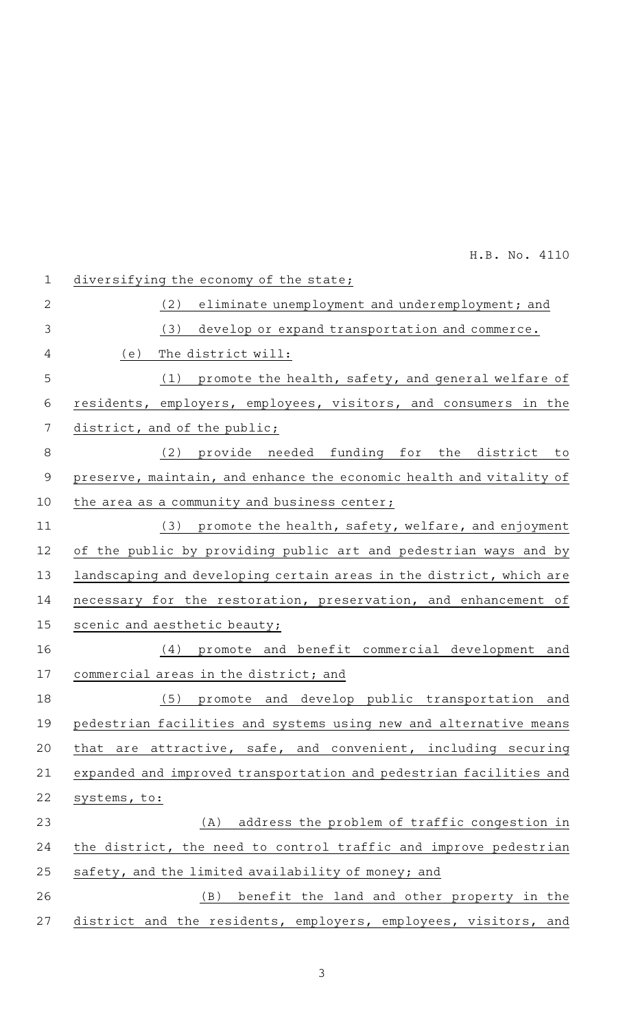| $\mathbf{1}$   | diversifying the economy of the state;                              |
|----------------|---------------------------------------------------------------------|
| $\overline{2}$ | eliminate unemployment and underemployment; and<br>(2)              |
| 3              | develop or expand transportation and commerce.<br>(3)               |
| 4              | (e)<br>The district will:                                           |
|                |                                                                     |
| 5              | promote the health, safety, and general welfare of<br>(1)           |
| 6              | residents, employers, employees, visitors, and consumers in the     |
| $\overline{7}$ | district, and of the public;                                        |
| 8              | provide needed funding for the district<br>(2)<br>to                |
| $\mathsf 9$    | preserve, maintain, and enhance the economic health and vitality of |
| 10             | the area as a community and business center;                        |
| 11             | (3) promote the health, safety, welfare, and enjoyment              |
| 12             | of the public by providing public art and pedestrian ways and by    |
| 13             | landscaping and developing certain areas in the district, which are |
| 14             | necessary for the restoration, preservation, and enhancement of     |
| 15             | scenic and aesthetic beauty;                                        |
| 16             | promote and benefit commercial development and<br>(4)               |
| 17             | commercial areas in the district; and                               |
| 18             | promote and develop public transportation and<br>(5)                |
| 19             | pedestrian facilities and systems using new and alternative means   |
| 20             | that are attractive, safe, and convenient, including securing       |
| 21             | expanded and improved transportation and pedestrian facilities and  |
| 22             | systems, to:                                                        |
| 23             | address the problem of traffic congestion in<br>(A)                 |
| 24             | the district, the need to control traffic and improve pedestrian    |
| 25             | safety, and the limited availability of money; and                  |
| 26             | benefit the land and other property in the<br>(B)                   |
| 27             | district and the residents, employers, employees, visitors, and     |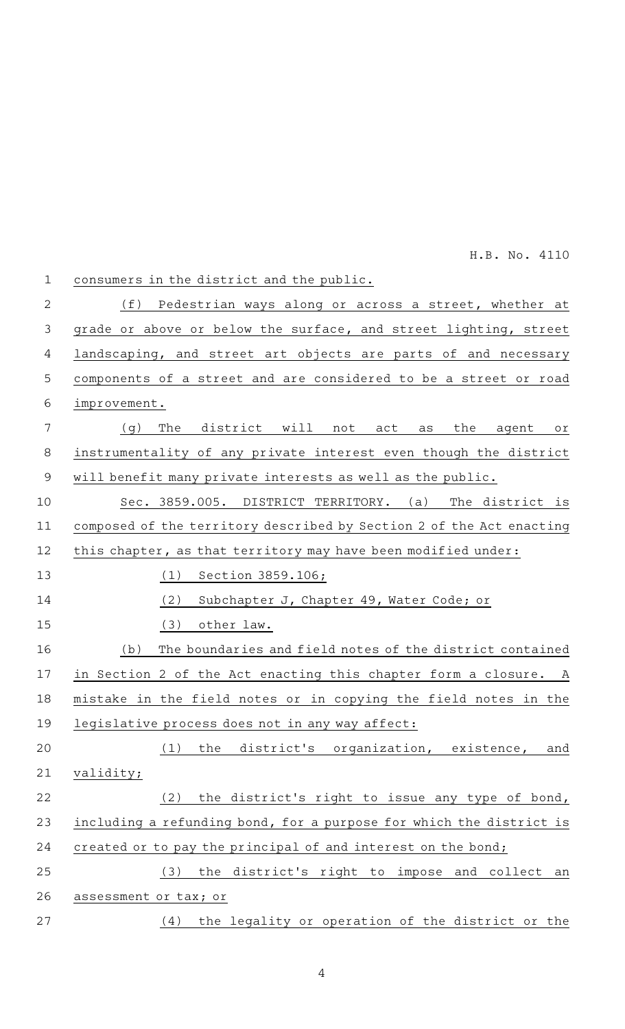| $\mathbf 1$    | consumers in the district and the public.                            |
|----------------|----------------------------------------------------------------------|
| $\overline{2}$ | (f)<br>Pedestrian ways along or across a street, whether at          |
| 3              | grade or above or below the surface, and street lighting, street     |
| 4              | landscaping, and street art objects are parts of and necessary       |
| 5              | components of a street and are considered to be a street or road     |
| 6              | improvement.                                                         |
| 7              | The<br>(q)<br>district will not<br>the<br>act<br>as<br>agent<br>Оľ   |
| 8              | instrumentality of any private interest even though the district     |
| 9              | will benefit many private interests as well as the public.           |
| 10             | Sec. 3859.005. DISTRICT TERRITORY. (a)<br>The district is            |
| 11             | composed of the territory described by Section 2 of the Act enacting |
| 12             | this chapter, as that territory may have been modified under:        |
| 13             | (1)<br>Section 3859.106;                                             |
| 14             | (2)<br>Subchapter J, Chapter 49, Water Code; or                      |
| 15             | (3)<br>other law.                                                    |
| 16             | The boundaries and field notes of the district contained<br>(b)      |
| 17             | in Section 2 of the Act enacting this chapter form a closure. A      |
| 18             | mistake in the field notes or in copying the field notes in the      |
| 19             | legislative process does not in any way affect:                      |
| 20             | the district's organization, existence,<br>(1)<br>and                |
| 21             | validity;                                                            |
| 22             | the district's right to issue any type of bond,<br>(2)               |
| 23             | including a refunding bond, for a purpose for which the district is  |
| 24             | created or to pay the principal of and interest on the bond;         |
| 25             | the district's right to impose and collect an<br>(3)                 |
| 26             | assessment or tax; or                                                |
| 27             | the legality or operation of the district or the<br>(4)              |
|                |                                                                      |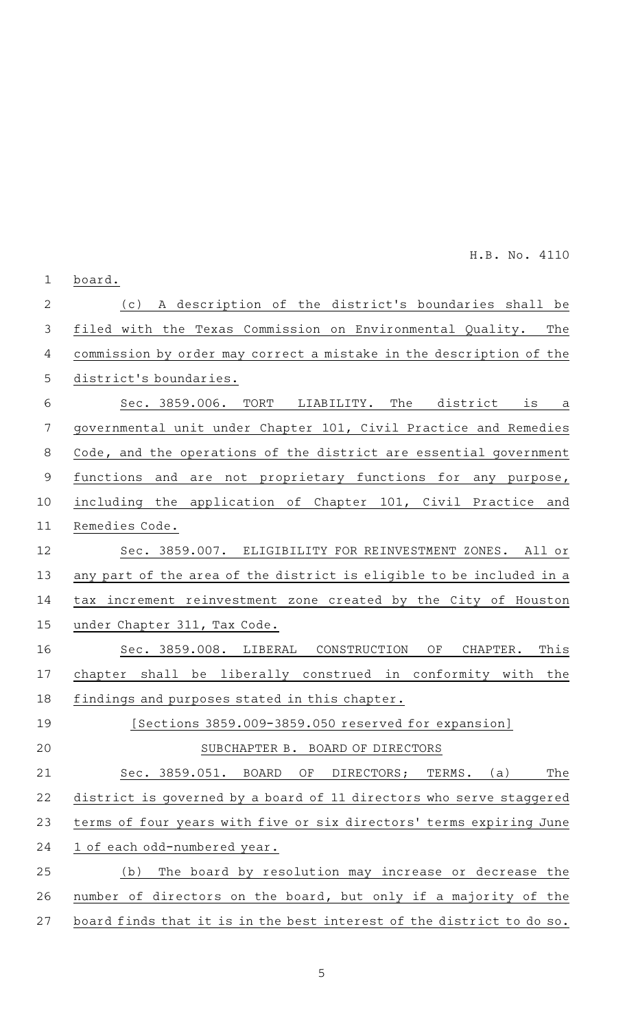board. (c)AAA description of the district 's boundaries shall be filed with the Texas Commission on Environmental Quality. The commission by order may correct a mistake in the description of the district 's boundaries. Sec. 3859.006. TORT LIABILITY. The district is a governmental unit under Chapter 101, Civil Practice and Remedies Code, and the operations of the district are essential government functions and are not proprietary functions for any purpose, including the application of Chapter 101, Civil Practice and Remedies Code. Sec. 3859.007. ELIGIBILITY FOR REINVESTMENT ZONES. All or any part of the area of the district is eligible to be included in a tax increment reinvestment zone created by the City of Houston under Chapter 311, Tax Code. Sec. 3859.008. LIBERAL CONSTRUCTION OF CHAPTER. This chapter shall be liberally construed in conformity with the findings and purposes stated in this chapter. [Sections 3859.009-3859.050 reserved for expansion] SUBCHAPTER B. BOARD OF DIRECTORS Sec. 3859.051. BOARD OF DIRECTORS; TERMS. (a) The district is governed by a board of 11 directors who serve staggered terms of four years with five or six directors' terms expiring June 1 of each odd-numbered year. (b) The board by resolution may increase or decrease the number of directors on the board, but only if a majority of the board finds that it is in the best interest of the district to do so. 1 2 3 4 5 6 7 8 9 10 11 12 13 14 15 16 17 18 19 20 21 22 23 24 25 26 27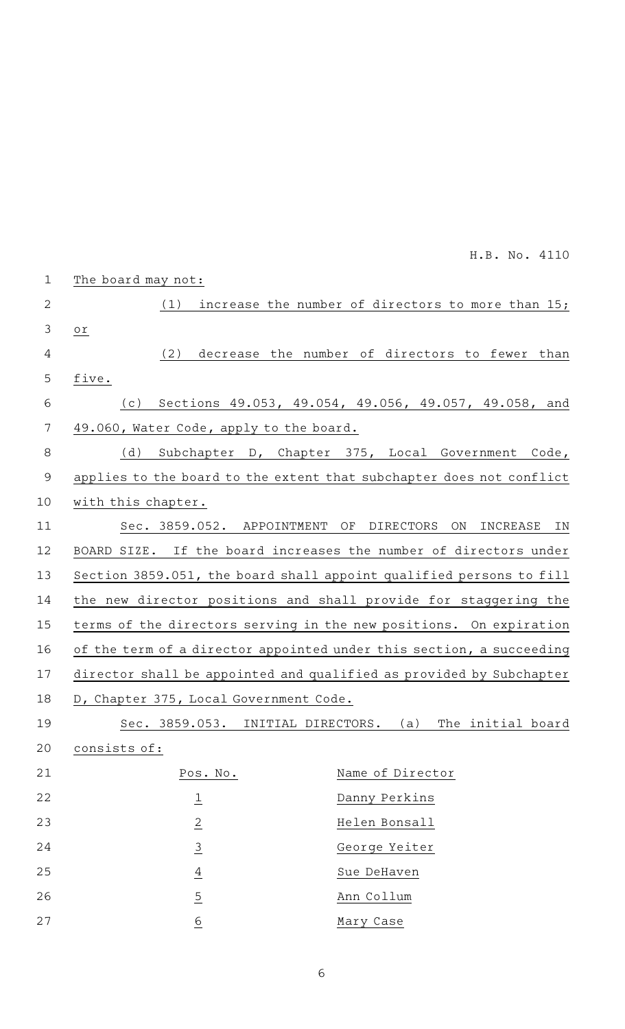| $\mathbf{1}$   | The board may not:                      |                                                                      |
|----------------|-----------------------------------------|----------------------------------------------------------------------|
| 2              | (1)                                     | increase the number of directors to more than 15;                    |
| $\mathfrak{Z}$ | Оľ                                      |                                                                      |
| 4              | (2)                                     | decrease the number of directors to fewer than                       |
| 5              | five.                                   |                                                                      |
| 6              | (c)                                     | Sections 49.053, 49.054, 49.056, 49.057, 49.058, and                 |
| 7              | 49.060, Water Code, apply to the board. |                                                                      |
| 8              | (d)                                     | Subchapter D, Chapter 375, Local Government Code,                    |
| $\mathsf 9$    |                                         | applies to the board to the extent that subchapter does not conflict |
| 10             | with this chapter.                      |                                                                      |
| 11             | Sec. 3859.052. APPOINTMENT              | ΟF<br><b>DIRECTORS</b><br>ON<br>INCREASE<br>ΙN                       |
| 12             |                                         | BOARD SIZE. If the board increases the number of directors under     |
| 13             |                                         | Section 3859.051, the board shall appoint qualified persons to fill  |
| 14             |                                         | the new director positions and shall provide for staggering the      |
| 15             |                                         | terms of the directors serving in the new positions. On expiration   |
| 16             |                                         | of the term of a director appointed under this section, a succeeding |
| 17             |                                         | director shall be appointed and qualified as provided by Subchapter  |
| 18             | D, Chapter 375, Local Government Code.  |                                                                      |
| 19             |                                         | Sec. 3859.053. INITIAL DIRECTORS. (a) The initial board              |
| 20             | consists of:                            |                                                                      |
| 21             | Pos. No.                                | Name of Director                                                     |
| 22             | $\overline{\mathbf{1}}$                 | Danny Perkins                                                        |
| 23             | $\overline{2}$                          | Helen Bonsall                                                        |
| 24             | $\overline{3}$                          | George Yeiter                                                        |
| 25             | $\overline{4}$                          | Sue DeHaven                                                          |
| 26             | $\overline{5}$                          | Ann Collum                                                           |
| 27             | $\underline{6}$                         | Mary Case                                                            |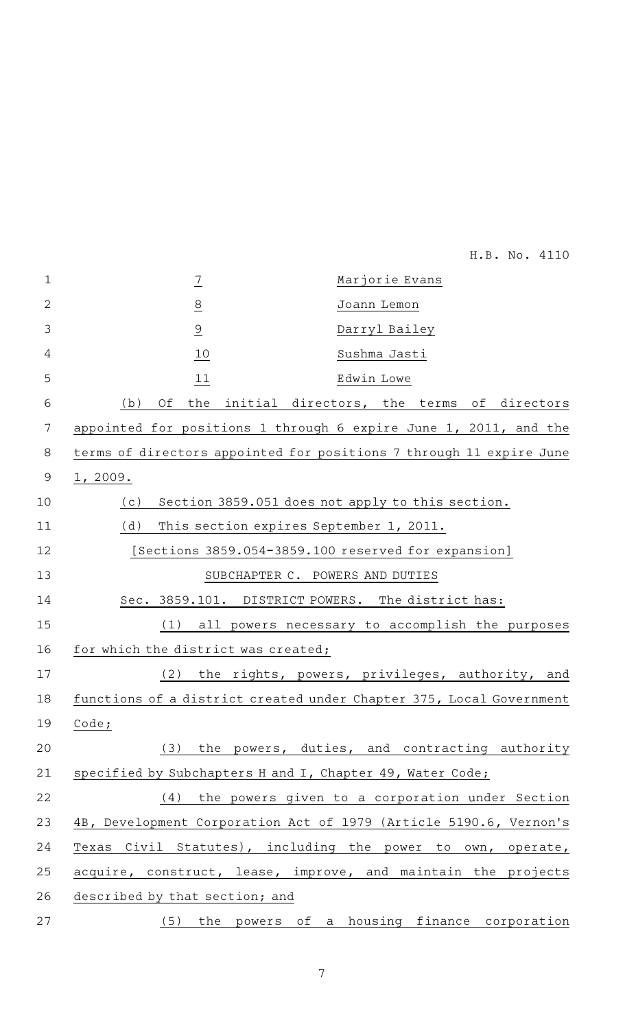| $\mathbf{1}$ | $\frac{7}{1}$                                                       | Marjorie Evans                                   |
|--------------|---------------------------------------------------------------------|--------------------------------------------------|
| $\mathbf{2}$ | $\overline{8}$                                                      | Joann Lemon                                      |
| 3            | $\overline{9}$                                                      | Darryl Bailey                                    |
| 4            | 10                                                                  | Sushma Jasti                                     |
| 5            | 11                                                                  | Edwin Lowe                                       |
| 6            | Оf<br>(b)<br>the                                                    | initial directors, the terms of directors        |
| 7            | appointed for positions 1 through 6 expire June 1, 2011, and the    |                                                  |
| 8            | terms of directors appointed for positions 7 through 11 expire June |                                                  |
| 9            | 1,2009.                                                             |                                                  |
| 10           | (c)                                                                 | Section 3859.051 does not apply to this section. |
| 11           | (d)<br>This section expires September 1, 2011.                      |                                                  |
| 12           | [Sections 3859.054-3859.100 reserved for expansion]                 |                                                  |
| 13           | SUBCHAPTER C. POWERS AND DUTIES                                     |                                                  |
| 14           | Sec. 3859.101. DISTRICT POWERS. The district has:                   |                                                  |
| 15           | (1)                                                                 | all powers necessary to accomplish the purposes  |
| 16           | for which the district was created;                                 |                                                  |
| 17           | (2)                                                                 | the rights, powers, privileges, authority, and   |
| 18           | functions of a district created under Chapter 375, Local Government |                                                  |
| 19           | Code;                                                               |                                                  |
| 20           | (3)                                                                 | the powers, duties, and contracting authority    |
| 21           | specified by Subchapters H and I, Chapter 49, Water Code;           |                                                  |
| 22           | (4)                                                                 | the powers given to a corporation under Section  |
| 23           | 4B, Development Corporation Act of 1979 (Article 5190.6, Vernon's   |                                                  |
| 24           | Texas Civil Statutes), including the power to own, operate,         |                                                  |
| 25           | acquire, construct, lease, improve, and maintain the projects       |                                                  |
| 26           | described by that section; and                                      |                                                  |
| 27           |                                                                     | (5) the powers of a housing finance corporation  |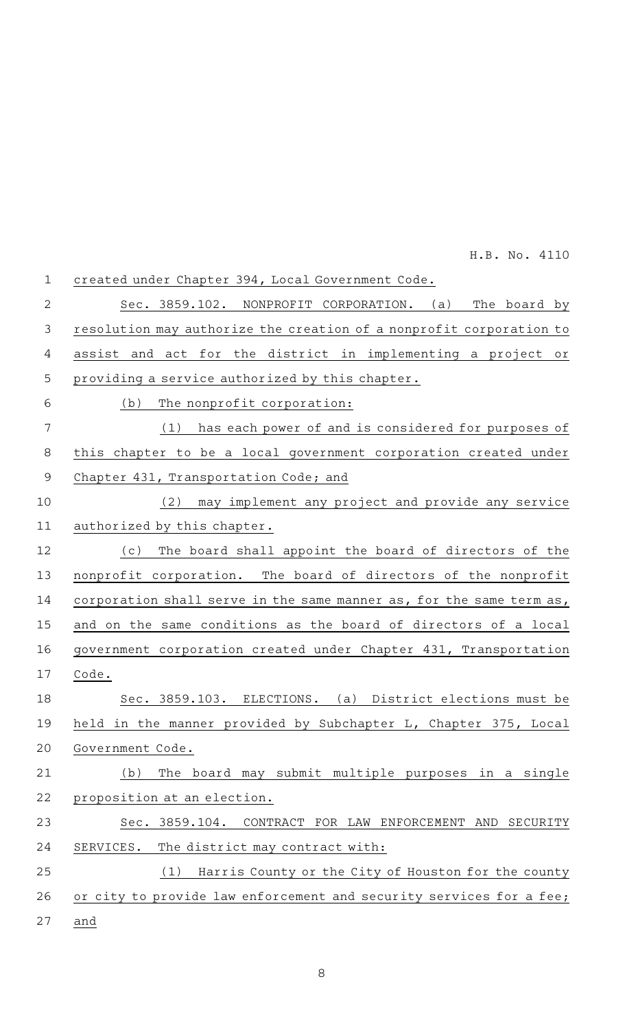| $\mathbf{1}$   | created under Chapter 394, Local Government Code.                    |
|----------------|----------------------------------------------------------------------|
| $\overline{2}$ | Sec. 3859.102. NONPROFIT CORPORATION. (a)<br>The board by            |
| 3              | resolution may authorize the creation of a nonprofit corporation to  |
| $\overline{4}$ | assist and act for the district in implementing a project or         |
| 5              | providing a service authorized by this chapter.                      |
| 6              | (b)<br>The nonprofit corporation:                                    |
| 7              | (1)<br>has each power of and is considered for purposes of           |
| 8              | this chapter to be a local government corporation created under      |
| $\mathsf 9$    | Chapter 431, Transportation Code; and                                |
| 10             | may implement any project and provide any service<br>(2)             |
| 11             | authorized by this chapter.                                          |
| 12             | The board shall appoint the board of directors of the<br>( C )       |
| 13             | nonprofit corporation. The board of directors of the nonprofit       |
| 14             | corporation shall serve in the same manner as, for the same term as, |
| 15             | and on the same conditions as the board of directors of a local      |
| 16             | government corporation created under Chapter 431, Transportation     |
| 17             | Code.                                                                |
| 18             | Sec. 3859.103. ELECTIONS. (a) District elections must be             |
| 19             | held in the manner provided by Subchapter L, Chapter 375, Local      |
| 20             | Government Code.                                                     |
| 21             | The board may submit multiple purposes in a single<br>(b)            |
| 22             | proposition at an election.                                          |
| 23             | Sec. 3859.104. CONTRACT FOR LAW ENFORCEMENT AND SECURITY             |
| 24             | The district may contract with:<br>SERVICES.                         |
| 25             | Harris County or the City of Houston for the county<br>(1)           |
| 26             | or city to provide law enforcement and security services for a fee;  |
| 27             | and                                                                  |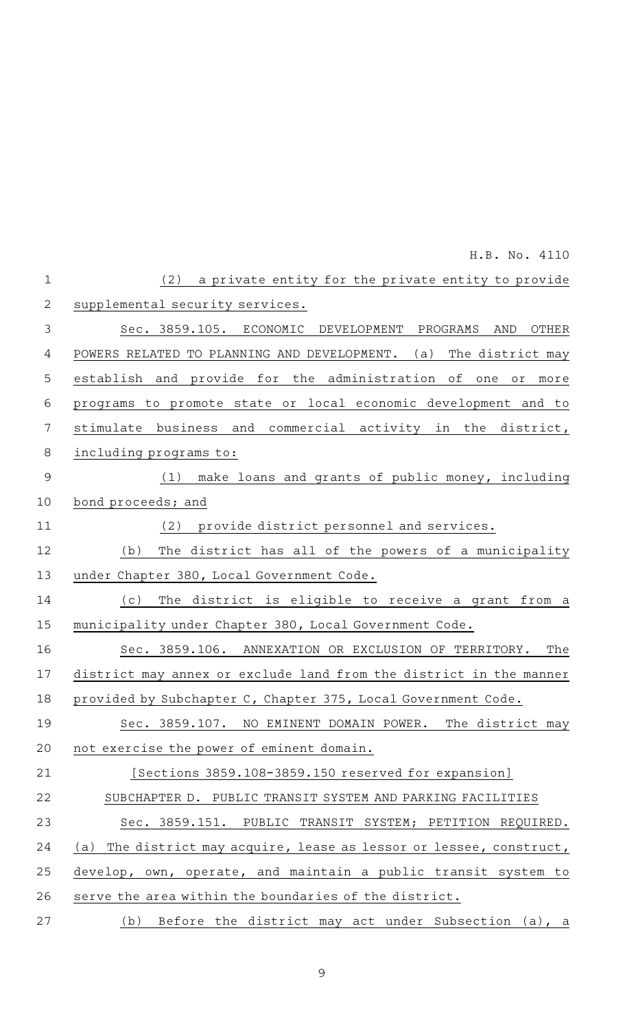|                | H.B. No. 4110                                                          |
|----------------|------------------------------------------------------------------------|
| $\mathbf 1$    | a private entity for the private entity to provide<br>(2)              |
| $\mathbf{2}$   | supplemental security services.                                        |
| 3              | Sec. 3859.105. ECONOMIC DEVELOPMENT PROGRAMS<br>OTHER<br>AND           |
| 4              | POWERS RELATED TO PLANNING AND DEVELOPMENT. (a)<br>The district may    |
| 5              | establish and provide for the administration of<br>one or more         |
| 6              | programs to promote state or local economic development and to         |
| 7              | stimulate business and commercial activity in the district,            |
| $\,8\,$        | including programs to:                                                 |
| $\overline{9}$ | (1) make loans and grants of public money, including                   |
| 10             | bond proceeds; and                                                     |
| 11             | provide district personnel and services.<br>(2)                        |
| 12             | The district has all of the powers of a municipality<br>(b)            |
| 13             | under Chapter 380, Local Government Code.                              |
| 14             | The district is eligible to receive a grant from a<br>(c)              |
| 15             | municipality under Chapter 380, Local Government Code.                 |
| 16             | Sec. 3859.106. ANNEXATION OR EXCLUSION OF TERRITORY.<br>The            |
| 17             | district may annex or exclude land from the district in the manner     |
| 18             | provided by Subchapter C, Chapter 375, Local Government Code.          |
| 19             | Sec. 3859.107. NO EMINENT DOMAIN POWER. The district may               |
| 20             | not exercise the power of eminent domain.                              |
| 21             | [Sections 3859.108-3859.150 reserved for expansion]                    |
| 22             | SUBCHAPTER D. PUBLIC TRANSIT SYSTEM AND PARKING FACILITIES             |
| 23             | Sec. 3859.151. PUBLIC TRANSIT SYSTEM; PETITION REQUIRED.               |
| 24             | The district may acquire, lease as lessor or lessee, construct,<br>(a) |
| 25             | develop, own, operate, and maintain a public transit system to         |
| 26             | serve the area within the boundaries of the district.                  |
| 27             | Before the district may act under Subsection (a), a<br>(b)             |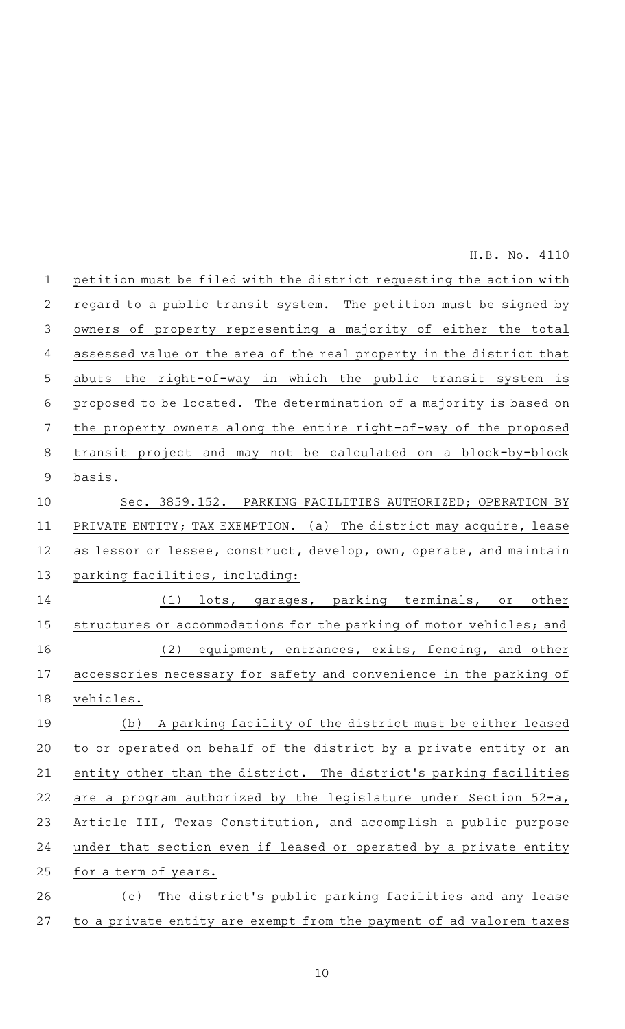petition must be filed with the district requesting the action with regard to a public transit system. The petition must be signed by owners of property representing a majority of either the total assessed value or the area of the real property in the district that abuts the right-of-way in which the public transit system is proposed to be located. The determination of a majority is based on the property owners along the entire right-of-way of the proposed transit project and may not be calculated on a block-by-block basis. Sec. 3859.152. PARKING FACILITIES AUTHORIZED; OPERATION BY PRIVATE ENTITY; TAX EXEMPTION. (a) The district may acquire, lease as lessor or lessee, construct, develop, own, operate, and maintain parking facilities, including: (1) lots, garages, parking terminals, or other structures or accommodations for the parking of motor vehicles; and (2) equipment, entrances, exits, fencing, and other accessories necessary for safety and convenience in the parking of vehicles. (b) A parking facility of the district must be either leased to or operated on behalf of the district by a private entity or an entity other than the district. The district 's parking facilities are a program authorized by the legislature under Section 52-a, Article III, Texas Constitution, and accomplish a public purpose under that section even if leased or operated by a private entity for a term of years. (c) The district's public parking facilities and any lease to a private entity are exempt from the payment of ad valorem taxes 1 2 3 4 5 6 7 8 9 10 11 12 13 14 15 16 17 18 19 20 21 22 23 24 25 26 27 H.B. No. 4110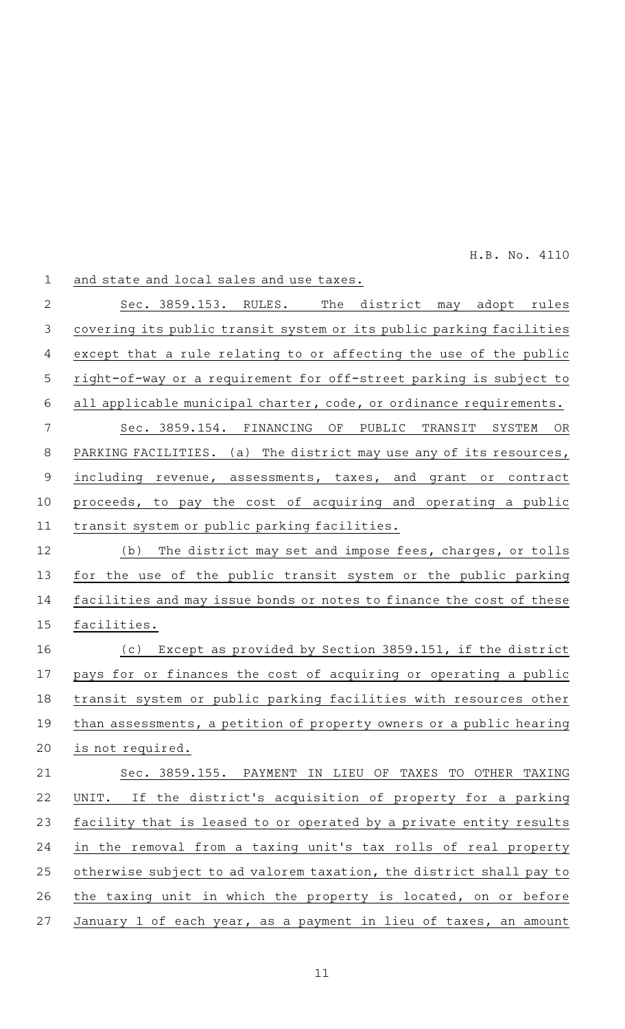| $\mathbf 1$    | and state and local sales and use taxes.                             |
|----------------|----------------------------------------------------------------------|
| $\overline{2}$ | Sec. 3859.153. RULES.<br>The district<br>may adopt rules             |
| $\mathfrak{Z}$ | covering its public transit system or its public parking facilities  |
| 4              | except that a rule relating to or affecting the use of the public    |
| 5              | right-of-way or a requirement for off-street parking is subject to   |
| 6              | all applicable municipal charter, code, or ordinance requirements.   |
| 7              | Sec. 3859.154. FINANCING<br>ΟF<br>PUBLIC<br>TRANSIT<br>SYSTEM<br>OR  |
| 8              | PARKING FACILITIES. (a) The district may use any of its resources,   |
| $\mathsf 9$    | including revenue, assessments, taxes, and grant or contract         |
| 10             | proceeds, to pay the cost of acquiring and operating a public        |
| 11             | transit system or public parking facilities.                         |
| 12             | The district may set and impose fees, charges, or tolls<br>(b)       |
| 13             | for the use of the public transit system or the public parking       |
| 14             | facilities and may issue bonds or notes to finance the cost of these |
| 15             | facilities.                                                          |
| 16             | (c) Except as provided by Section 3859.151, if the district          |
| 17             | pays for or finances the cost of acquiring or operating a public     |
| 18             | transit system or public parking facilities with resources other     |
| 19             | than assessments, a petition of property owners or a public hearing  |
| 20             | is not required.                                                     |
| 21             | Sec. 3859.155. PAYMENT IN LIEU OF TAXES TO OTHER TAXING              |
| 22             | If the district's acquisition of property for a parking<br>UNIT.     |
| 23             | facility that is leased to or operated by a private entity results   |
| 24             | in the removal from a taxing unit's tax rolls of real property       |
| 25             | otherwise subject to ad valorem taxation, the district shall pay to  |
| 26             | the taxing unit in which the property is located, on or before       |
| 27             | January 1 of each year, as a payment in lieu of taxes, an amount     |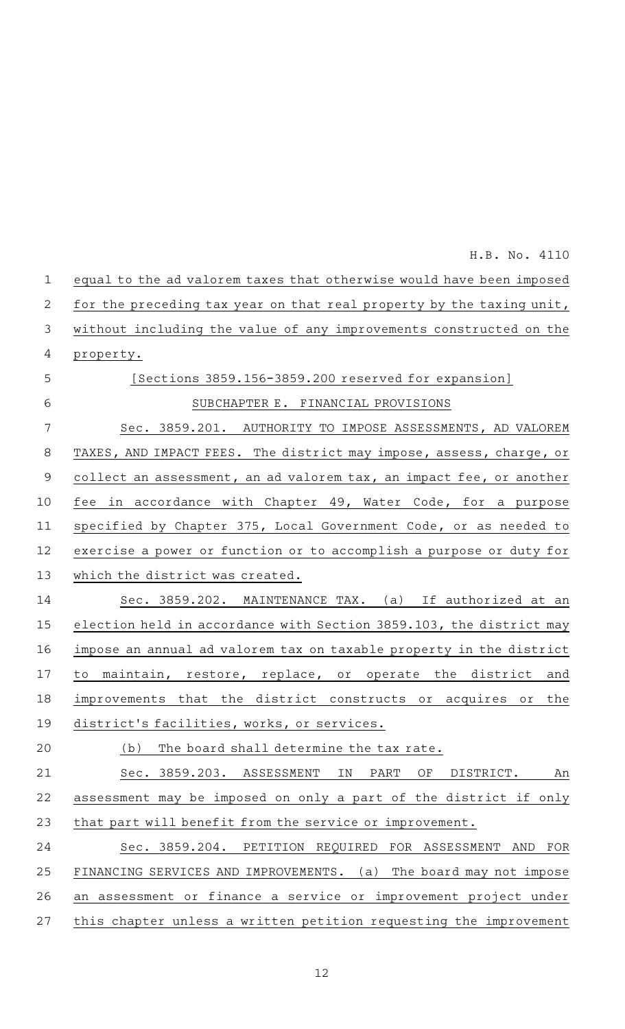|                | H.B. No. 4110                                                        |
|----------------|----------------------------------------------------------------------|
| $\mathbf 1$    | equal to the ad valorem taxes that otherwise would have been imposed |
| $\overline{2}$ | for the preceding tax year on that real property by the taxing unit, |
| $\mathfrak{Z}$ | without including the value of any improvements constructed on the   |
| 4              | property.                                                            |
| 5              | [Sections 3859.156-3859.200 reserved for expansion]                  |
| 6              | SUBCHAPTER E. FINANCIAL PROVISIONS                                   |
| 7              | Sec. 3859.201. AUTHORITY TO IMPOSE ASSESSMENTS, AD VALOREM           |
| 8              | TAXES, AND IMPACT FEES. The district may impose, assess, charge, or  |
| $\mathsf 9$    | collect an assessment, an ad valorem tax, an impact fee, or another  |
| 10             | fee in accordance with Chapter 49, Water Code, for a purpose         |
| 11             | specified by Chapter 375, Local Government Code, or as needed to     |
| 12             | exercise a power or function or to accomplish a purpose or duty for  |
| 13             | which the district was created.                                      |
| 14             | Sec. 3859.202. MAINTENANCE TAX. (a) If authorized at an              |
| 15             | election held in accordance with Section 3859.103, the district may  |
| 16             | impose an annual ad valorem tax on taxable property in the district  |
| 17             | to maintain, restore, replace, or operate the district and           |
| 18             | improvements that the district constructs or acquires or the         |
| 19             | district's facilities, works, or services.                           |
| 20             | (b)<br>The board shall determine the tax rate.                       |
| 21             | Sec. 3859.203.<br>ASSESSMENT<br>ΙN<br>PART<br>ΟF<br>DISTRICT.<br>An  |
| 22             | assessment may be imposed on only a part of the district if only     |
| 23             | that part will benefit from the service or improvement.              |
| 24             | Sec. 3859.204. PETITION REQUIRED FOR ASSESSMENT<br>AND<br>FOR        |
| 25             | FINANCING SERVICES AND IMPROVEMENTS.<br>(a) The board may not impose |
| 26             | an assessment or finance a service or improvement project under      |
| 27             | this chapter unless a written petition requesting the improvement    |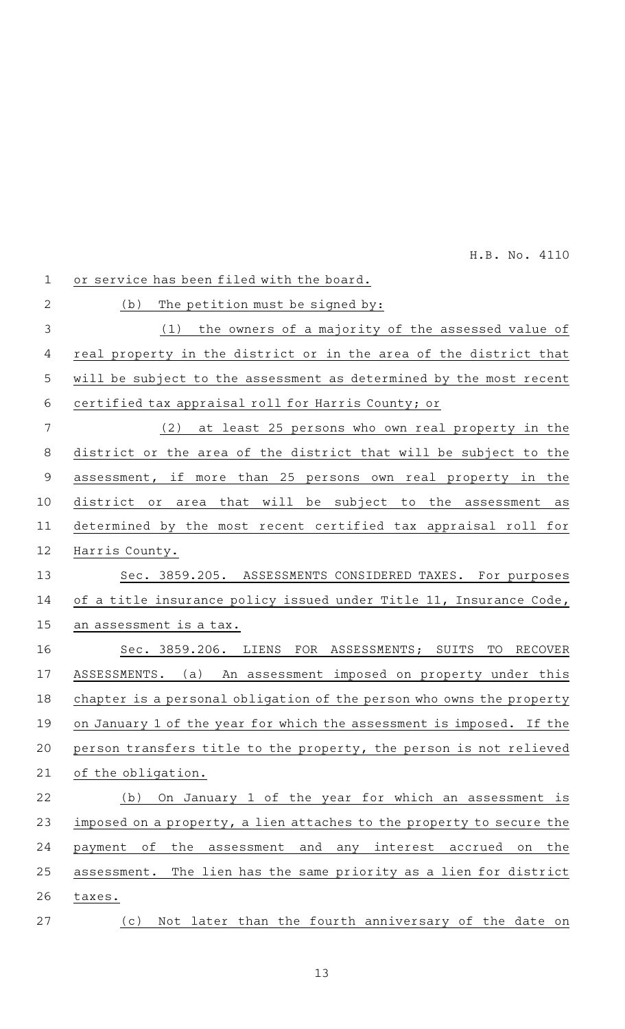| $\mathbf 1$    | or service has been filed with the board.                                    |
|----------------|------------------------------------------------------------------------------|
| $\overline{2}$ | The petition must be signed by:<br>(b)                                       |
| 3              | the owners of a majority of the assessed value of<br>(1)                     |
| 4              | real property in the district or in the area of the district that            |
| 5              | will be subject to the assessment as determined by the most recent           |
| 6              | certified tax appraisal roll for Harris County; or                           |
| 7              | at least 25 persons who own real property in the<br>(2)                      |
| 8              | district or the area of the district that will be subject to the             |
| $\mathsf 9$    | assessment, if more than 25 persons own real property in the                 |
| 10             | that will be subject<br>district<br>to the<br>or<br>area<br>assessment<br>as |
| 11             | determined by the most recent certified tax appraisal roll for               |
| 12             | Harris County.                                                               |
| 13             | Sec. 3859.205. ASSESSMENTS CONSIDERED TAXES. For purposes                    |
| 14             | of a title insurance policy issued under Title 11, Insurance Code,           |
| 15             | an assessment is a tax.                                                      |
| 16             | Sec. 3859.206. LIENS FOR ASSESSMENTS; SUITS<br>TO<br>RECOVER                 |
| 17             | ASSESSMENTS. (a) An assessment imposed on property under this                |
| 18             | chapter is a personal obligation of the person who owns the property         |
| 19             | on January 1 of the year for which the assessment is imposed. If the         |
| 20             | person transfers title to the property, the person is not relieved           |
| 21             | of the obligation.                                                           |
| 22             | On January 1 of the year for which an assessment is<br>(b)                   |
| 23             | imposed on a property, a lien attaches to the property to secure the         |
| 24             | payment of<br>the assessment and any interest accrued on<br>the              |
| 25             | The lien has the same priority as a lien for district<br>assessment.         |
| 26             | taxes.                                                                       |
| 27             | Not later than the fourth anniversary of the date on<br>(c)                  |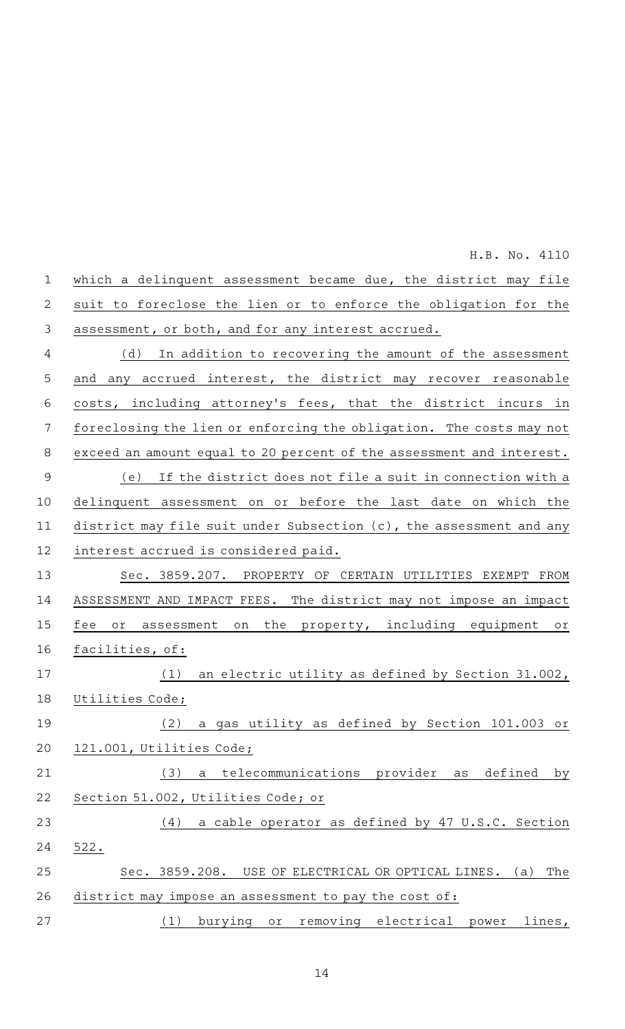| $\mathbf{1}$   | which a delinquent assessment became due, the district may file            |
|----------------|----------------------------------------------------------------------------|
| 2              | suit to foreclose the lien or to enforce the obligation for the            |
| 3              | assessment, or both, and for any interest accrued.                         |
| 4              | In addition to recovering the amount of the assessment<br>(d)              |
| 5              | any accrued interest, the district may recover reasonable<br>and           |
| 6              | costs, including attorney's fees, that the district incurs<br>in           |
| 7              | foreclosing the lien or enforcing the obligation. The costs may not        |
| 8              | exceed an amount equal to 20 percent of the assessment and interest.       |
| $\overline{9}$ | If the district does not file a suit in connection with a<br>(e)           |
| 10             | delinquent assessment on or before the last date on which the              |
| 11             | district may file suit under Subsection (c), the assessment and any        |
| 12             | interest accrued is considered paid.                                       |
| 13             | Sec. 3859.207. PROPERTY OF CERTAIN UTILITIES EXEMPT<br>FROM                |
| 14             | ASSESSMENT AND IMPACT FEES. The district may not impose an impact          |
| 15             | the property, including equipment<br>fee<br>assessment<br>Оľ<br>on<br>or   |
| 16             | facilities, of:                                                            |
| 17             | an electric utility as defined by Section 31.002,<br>(1)                   |
| 18             | Utilities Code;                                                            |
| 19             | (2) a gas utility as defined by Section 101.003 or                         |
| 20             | 121.001, Utilities Code;                                                   |
| 21             | (3)<br>a telecommunications provider as<br>defined<br>by                   |
| 22             | Section 51.002, Utilities Code; or                                         |
| 23             | a cable operator as defined by 47 U.S.C. Section<br>(4)                    |
| 24             | 522.                                                                       |
| 25             | Sec. 3859.208. USE OF ELECTRICAL OR OPTICAL LINES.<br>The<br>(a)           |
| 26             | district may impose an assessment to pay the cost of:                      |
| 27             | burying<br>removing electrical<br>lines,<br>(1)<br>O <sub>T</sub><br>power |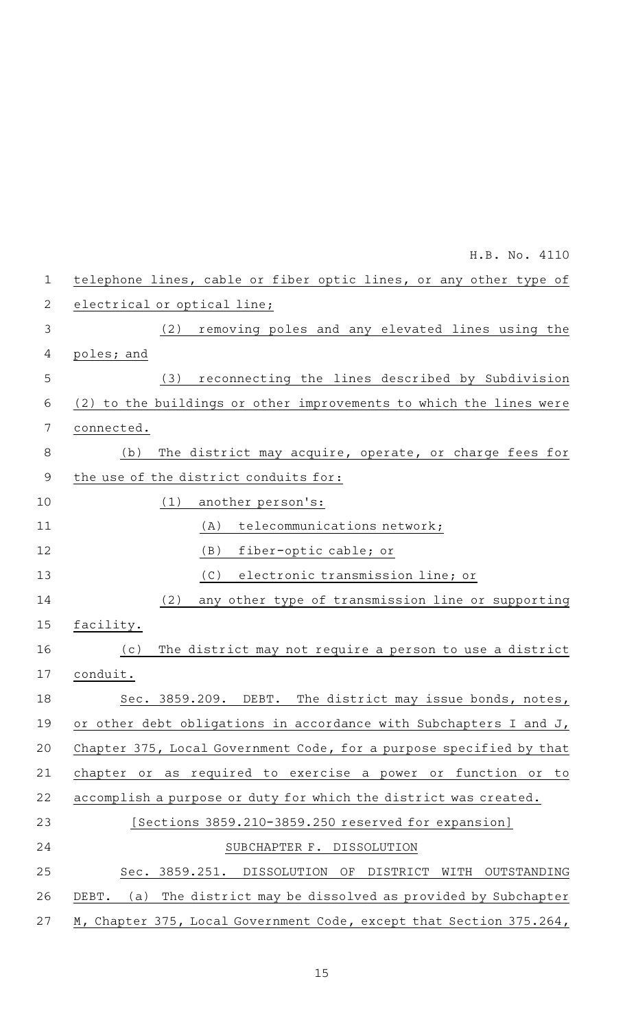|                | H.B. No. 4110                                                           |
|----------------|-------------------------------------------------------------------------|
| $\mathbf 1$    | telephone lines, cable or fiber optic lines, or any other type of       |
| 2              | electrical or optical line;                                             |
| $\mathfrak{Z}$ | removing poles and any elevated lines using the<br>(2)                  |
| 4              | poles; and                                                              |
| 5              | reconnecting the lines described by Subdivision<br>(3)                  |
| 6              | (2) to the buildings or other improvements to which the lines were      |
| 7              | connected.                                                              |
| $\,8\,$        | The district may acquire, operate, or charge fees for<br>(b)            |
| $\overline{9}$ | the use of the district conduits for:                                   |
| 10             | (1)<br>another person's:                                                |
| 11             | telecommunications network;<br>(A)                                      |
| 12             | fiber-optic cable; or<br>(B)                                            |
| 13             | electronic transmission line; or<br>(C)                                 |
| 14             | any other type of transmission line or supporting<br>(2)                |
| 15             | facility.                                                               |
| 16             | The district may not require a person to use a district<br>(c)          |
| 17             | conduit.                                                                |
| 18             | Sec. 3859.209. DEBT. The district may issue bonds, notes,               |
| 19             | or other debt obligations in accordance with Subchapters I and J,       |
| 20             | Chapter 375, Local Government Code, for a purpose specified by that     |
| 21             | or as required to exercise a power or function or<br>chapter<br>to      |
| 22             | accomplish a purpose or duty for which the district was created.        |
| 23             | [Sections 3859.210-3859.250 reserved for expansion]                     |
| 24             | SUBCHAPTER F. DISSOLUTION                                               |
| 25             | Sec. 3859.251.<br>DISSOLUTION<br>OF<br>DISTRICT<br>WITH<br>OUTSTANDING  |
| 26             | The district may be dissolved as provided by Subchapter<br>DEBT.<br>(a) |
| 27             | M, Chapter 375, Local Government Code, except that Section 375.264,     |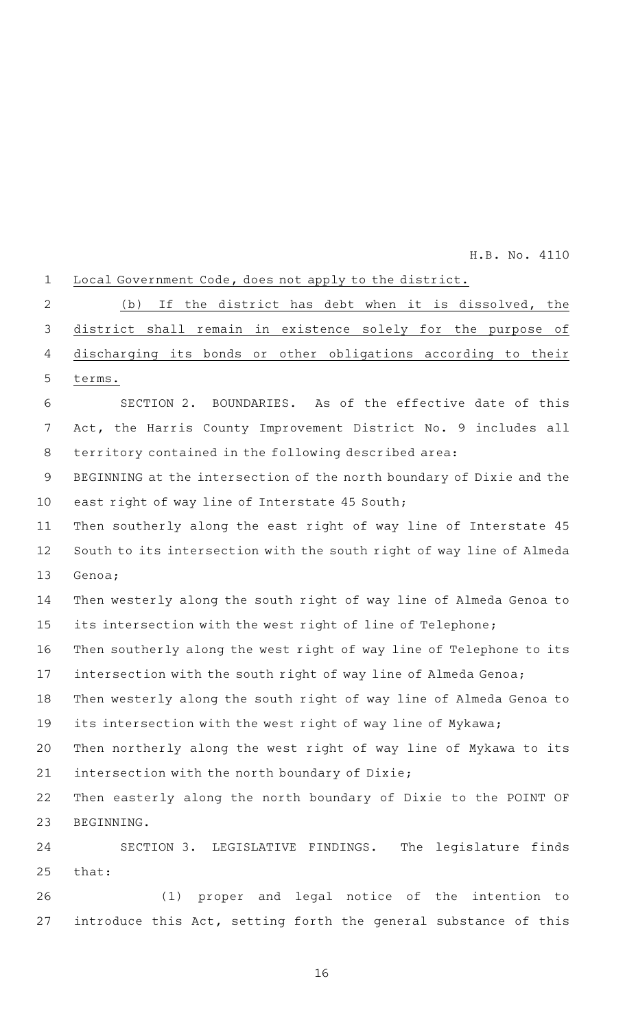| $\mathbf 1$ | Local Government Code, does not apply to the district.               |
|-------------|----------------------------------------------------------------------|
| 2           | If the district has debt when it is dissolved, the<br>(b)            |
| 3           | district shall remain in existence solely for the purpose of         |
| 4           | discharging its bonds or other obligations according to their        |
| 5           | terms.                                                               |
| 6           | SECTION 2. BOUNDARIES. As of the effective date of this              |
| 7           | Act, the Harris County Improvement District No. 9 includes all       |
| 8           | territory contained in the following described area:                 |
| 9           | BEGINNING at the intersection of the north boundary of Dixie and the |
| 10          | east right of way line of Interstate 45 South;                       |
| 11          | Then southerly along the east right of way line of Interstate 45     |
| 12          | South to its intersection with the south right of way line of Almeda |
| 13          | Genoa;                                                               |
| 14          | Then westerly along the south right of way line of Almeda Genoa to   |
| 15          | its intersection with the west right of line of Telephone;           |
| 16          | Then southerly along the west right of way line of Telephone to its  |
| 17          | intersection with the south right of way line of Almeda Genoa;       |
| 18          | Then westerly along the south right of way line of Almeda Genoa to   |
| 19          | its intersection with the west right of way line of Mykawa;          |
| 20          | Then northerly along the west right of way line of Mykawa to its     |
| 21          | intersection with the north boundary of Dixie;                       |
| 22          | Then easterly along the north boundary of Dixie to the POINT OF      |
| 23          | BEGINNING.                                                           |
| 24          | SECTION 3. LEGISLATIVE FINDINGS. The legislature finds               |
| 25          | that:                                                                |
| 26          | (1) proper and legal notice of the intention to                      |
| 27          | introduce this Act, setting forth the general substance of this      |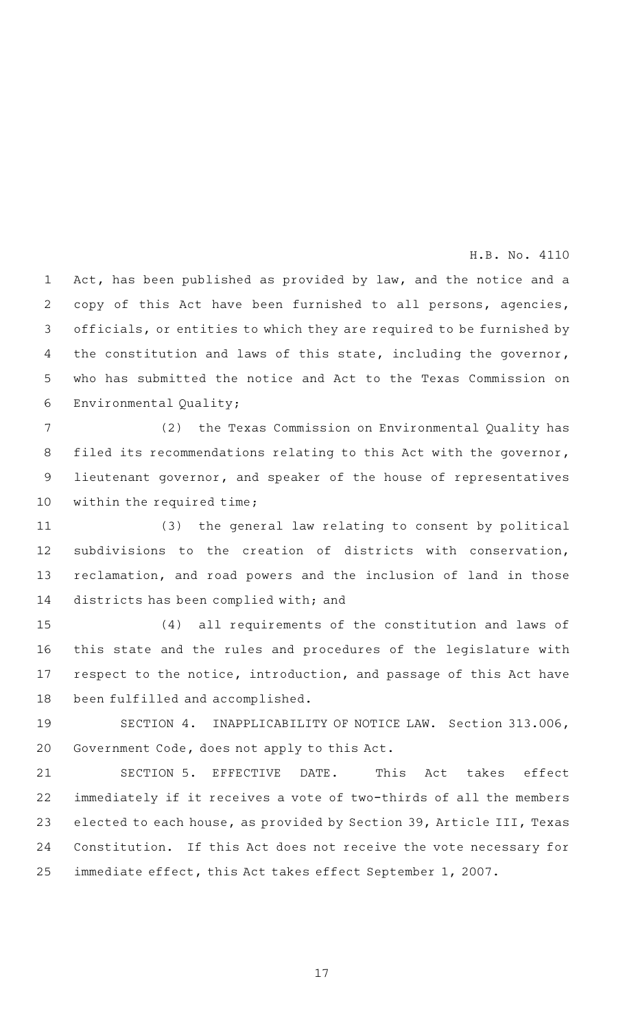Act, has been published as provided by law, and the notice and a copy of this Act have been furnished to all persons, agencies, officials, or entities to which they are required to be furnished by the constitution and laws of this state, including the governor, who has submitted the notice and Act to the Texas Commission on Environmental Quality; 1 2 3 4 5 6

(2) the Texas Commission on Environmental Quality has filed its recommendations relating to this Act with the governor, lieutenant governor, and speaker of the house of representatives within the required time; 7 8 9 10

(3) the general law relating to consent by political subdivisions to the creation of districts with conservation, reclamation, and road powers and the inclusion of land in those districts has been complied with; and 11 12 13 14

(4) all requirements of the constitution and laws of this state and the rules and procedures of the legislature with respect to the notice, introduction, and passage of this Act have been fulfilled and accomplished. 15 16 17 18

SECTION 4. INAPPLICABILITY OF NOTICE LAW. Section 313.006, Government Code, does not apply to this Act. 19 20

SECTION 5. EFFECTIVE DATE. This Act takes effect immediately if it receives a vote of two-thirds of all the members elected to each house, as provided by Section 39, Article III, Texas Constitution. If this Act does not receive the vote necessary for immediate effect, this Act takes effect September 1, 2007. 21 22 23 24 25